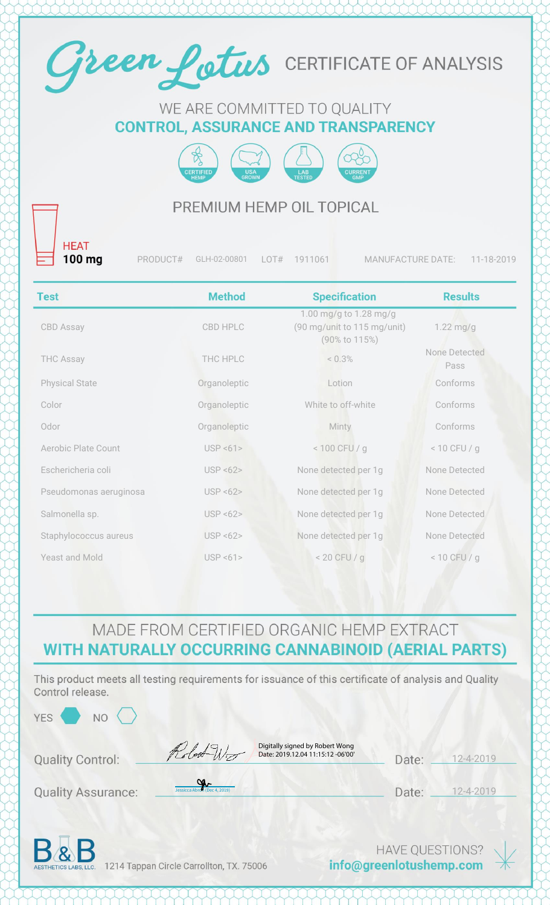

#### WE ARE COMMITTED TO QUALITY **CONTROL, ASSURANCE AND TRANSPARENCY**



#### PREMIUM HEMP OIL TOPICAL

**HEAT** 100 mg

PRODUCT# GLH-02-00801 LOT# 1911061 MANUFACTURE DATE: 11-18-2019

| <b>Test</b>                | <b>Method</b> | <b>Specification</b>                                                   | <b>Results</b>        |
|----------------------------|---------------|------------------------------------------------------------------------|-----------------------|
| <b>CBD Assay</b>           | CBD HPLC      | 1.00 mg/g to 1.28 mg/g<br>(90 mg/unit to 115 mg/unit)<br>(90% to 115%) | $1.22$ mg/g           |
| <b>THC Assay</b>           | THC HPLC      | $< 0.3\%$                                                              | None Detected<br>Pass |
| <b>Physical State</b>      | Organoleptic  | Lotion                                                                 | Conforms              |
| Color                      | Organoleptic  | White to off-white                                                     | Conforms              |
| Odor                       | Organoleptic  | Minty                                                                  | Conforms              |
| <b>Aerobic Plate Count</b> | USP < 61      | $< 100$ CFU / g                                                        | $< 10$ CFU / g        |
| Eschericheria coli         | USP < 62      | None detected per 1g                                                   | None Detected         |
| Pseudomonas aeruginosa     | USP < 62      | None detected per 1g                                                   | None Detected         |
| Salmonella sp.             | USP < 62      | None detected per 1g                                                   | None Detected         |
| Staphylococcus aureus      | USP < 62      | None detected per 1g                                                   | None Detected         |
| Yeast and Mold             | USP < 61      | $< 20$ CFU / g                                                         | $< 10$ CFU / g        |

## MADE FROM CERTIFIED ORGANIC HEMP EXTRACT WITH NATURALLY OCCURRING CANNABINOID (AERIAL PARTS)

This product meets all testing requirements for issuance of this certificate of analysis and Quality Control release.

| YES<br>N <sub>O</sub>     |                                                                                    |                        |           |  |
|---------------------------|------------------------------------------------------------------------------------|------------------------|-----------|--|
| <b>Quality Control:</b>   | Digitally signed by Robert Wong<br>Robert Wir<br>Date: 2019.12.04 11:15:12 -06'00' | Date:                  | 12-4-2019 |  |
| <b>Quality Assurance:</b> | Jessicca Abron (Dec 4, 2019)                                                       | Date:                  | 12-4-2019 |  |
| R <sub>o</sub>            |                                                                                    | <b>HAVE OUESTIONS?</b> |           |  |

ALSO BETHETICS LABS, LLC. 1214 Tappan Circle Carrollton, TX. 75006

info@greenlotushemp.com